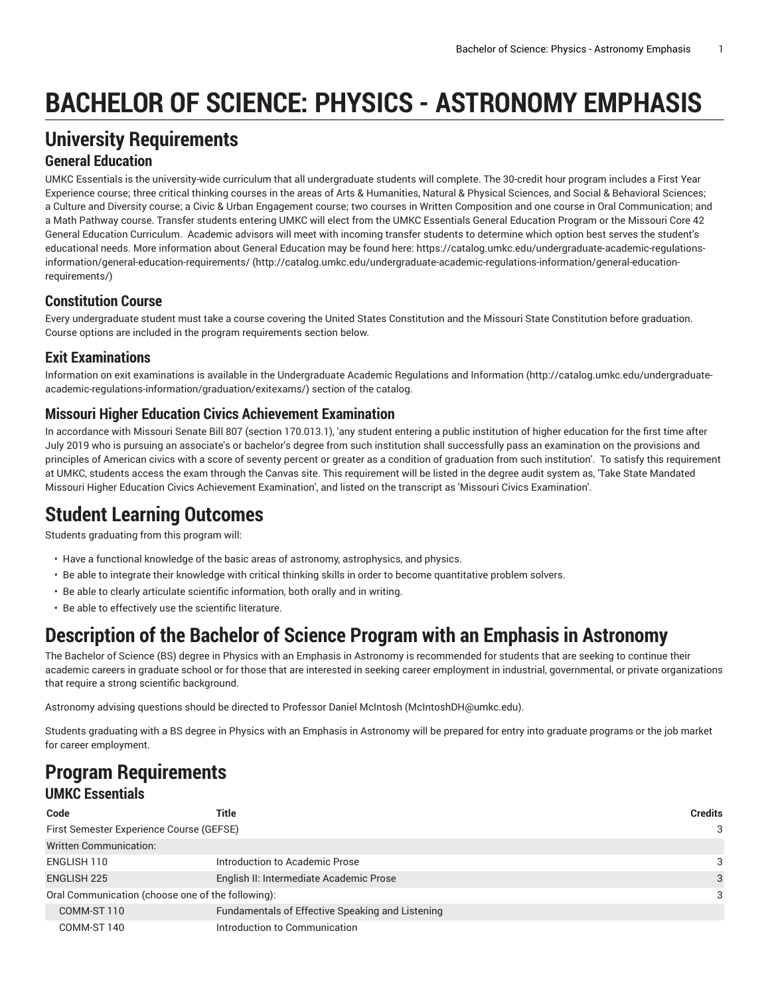# **BACHELOR OF SCIENCE: PHYSICS - ASTRONOMY EMPHASIS**

## **University Requirements**

#### **General Education**

UMKC Essentials is the university-wide curriculum that all undergraduate students will complete. The 30-credit hour program includes a First Year Experience course; three critical thinking courses in the areas of Arts & Humanities, Natural & Physical Sciences, and Social & Behavioral Sciences; a Culture and Diversity course; a Civic & Urban Engagement course; two courses in Written Composition and one course in Oral Communication; and a Math Pathway course. Transfer students entering UMKC will elect from the UMKC Essentials General Education Program or the Missouri Core 42 General Education Curriculum. Academic advisors will meet with incoming transfer students to determine which option best serves the student's educational needs. More information about General Education may be found here: [https://catalog.umkc.edu/undergraduate-academic-regulations](http://catalog.umkc.edu/undergraduate-academic-regulations-information/general-education-requirements/)[information/general-education-requirements/](http://catalog.umkc.edu/undergraduate-academic-regulations-information/general-education-requirements/) ([http://catalog.umkc.edu/undergraduate-academic-regulations-information/general-education](http://catalog.umkc.edu/undergraduate-academic-regulations-information/general-education-requirements/)[requirements/\)](http://catalog.umkc.edu/undergraduate-academic-regulations-information/general-education-requirements/)

### **Constitution Course**

Every undergraduate student must take a course covering the United States Constitution and the Missouri State Constitution before graduation. Course options are included in the program requirements section below.

### **Exit Examinations**

Information on exit examinations is available in the [Undergraduate](http://catalog.umkc.edu/undergraduate-academic-regulations-information/graduation/exitexams/) Academic Regulations and Information [\(http://catalog.umkc.edu/undergraduate](http://catalog.umkc.edu/undergraduate-academic-regulations-information/graduation/exitexams/)[academic-regulations-information/graduation/exitexams/](http://catalog.umkc.edu/undergraduate-academic-regulations-information/graduation/exitexams/)) section of the catalog.

#### **Missouri Higher Education Civics Achievement Examination**

In accordance with Missouri Senate Bill 807 (section 170.013.1), 'any student entering a public institution of higher education for the first time after July 2019 who is pursuing an associate's or bachelor's degree from such institution shall successfully pass an examination on the provisions and principles of American civics with a score of seventy percent or greater as a condition of graduation from such institution'. To satisfy this requirement at UMKC, students access the exam through the Canvas site. This requirement will be listed in the degree audit system as, 'Take State Mandated Missouri Higher Education Civics Achievement Examination', and listed on the transcript as 'Missouri Civics Examination'.

### **Student Learning Outcomes**

Students graduating from this program will:

- Have a functional knowledge of the basic areas of astronomy, astrophysics, and physics.
- Be able to integrate their knowledge with critical thinking skills in order to become quantitative problem solvers.
- Be able to clearly articulate scientific information, both orally and in writing.
- Be able to effectively use the scientific literature.

### **Description of the Bachelor of Science Program with an Emphasis in Astronomy**

The Bachelor of Science (BS) degree in Physics with an Emphasis in Astronomy is recommended for students that are seeking to continue their academic careers in graduate school or for those that are interested in seeking career employment in industrial, governmental, or private organizations that require a strong scientific background.

Astronomy advising questions should be directed to Professor Daniel McIntosh ([McIntoshDH@umkc.edu](mailto:McIntoshDH@umkc.edu)).

Students graduating with a BS degree in Physics with an Emphasis in Astronomy will be prepared for entry into graduate programs or the job market for career employment.

### **Program Requirements UMKC Essentials**

| Code                                              | Title                                            | <b>Credits</b> |
|---------------------------------------------------|--------------------------------------------------|----------------|
| First Semester Experience Course (GEFSE)          |                                                  | 3              |
| <b>Written Communication:</b>                     |                                                  |                |
| ENGLISH 110                                       | Introduction to Academic Prose                   | 3              |
| ENGLISH 225                                       | English II: Intermediate Academic Prose          | 3              |
| Oral Communication (choose one of the following): |                                                  | 3              |
| COMM-ST 110                                       | Fundamentals of Effective Speaking and Listening |                |
| COMM-ST 140                                       | Introduction to Communication                    |                |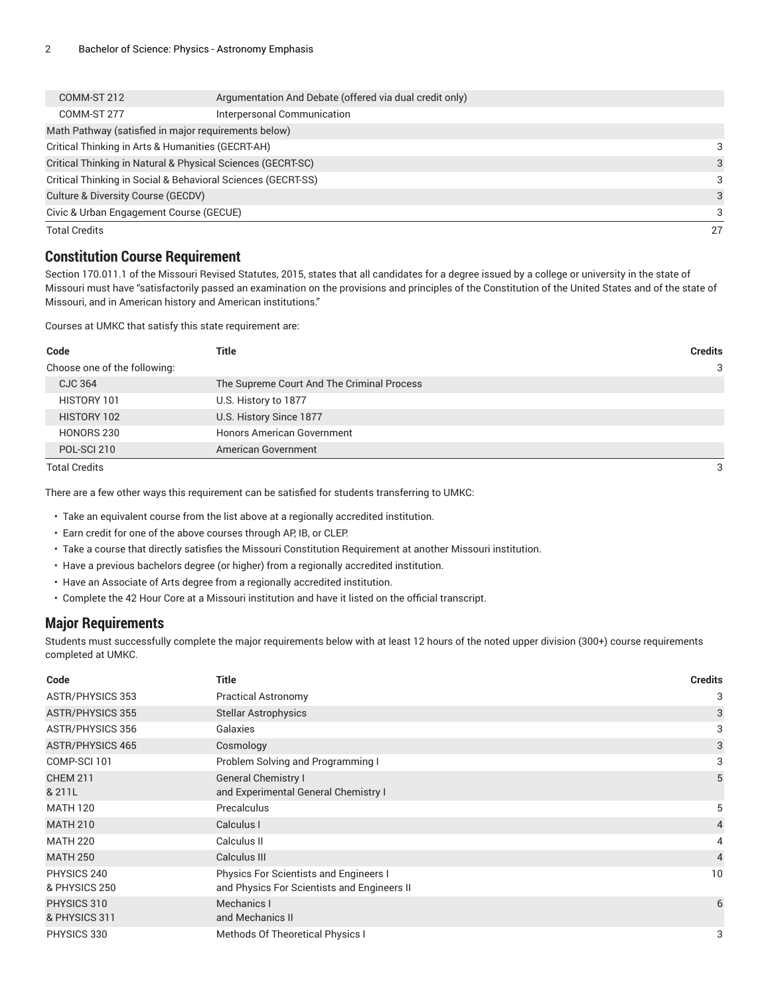| COMM-ST 212                                                  | Argumentation And Debate (offered via dual credit only) |    |
|--------------------------------------------------------------|---------------------------------------------------------|----|
| COMM-ST 277                                                  | Interpersonal Communication                             |    |
|                                                              | Math Pathway (satisfied in major requirements below)    |    |
| Critical Thinking in Arts & Humanities (GECRT-AH)            |                                                         | 3  |
| Critical Thinking in Natural & Physical Sciences (GECRT-SC)  | 3                                                       |    |
| Critical Thinking in Social & Behavioral Sciences (GECRT-SS) | 3                                                       |    |
| Culture & Diversity Course (GECDV)                           |                                                         | 3  |
| Civic & Urban Engagement Course (GECUE)                      |                                                         | 3  |
| <b>Total Credits</b>                                         |                                                         | 27 |

#### **Constitution Course Requirement**

Section 170.011.1 of the Missouri Revised Statutes, 2015, states that all candidates for a degree issued by a college or university in the state of Missouri must have "satisfactorily passed an examination on the provisions and principles of the Constitution of the United States and of the state of Missouri, and in American history and American institutions."

Courses at UMKC that satisfy this state requirement are:

| Title                                                                                                      | <b>Credits</b> |
|------------------------------------------------------------------------------------------------------------|----------------|
|                                                                                                            | 3              |
| The Supreme Court And The Criminal Process                                                                 |                |
| U.S. History to 1877                                                                                       |                |
| U.S. History Since 1877                                                                                    |                |
| <b>Honors American Government</b>                                                                          |                |
| American Government                                                                                        |                |
| Code<br>Choose one of the following:<br>CJC 364<br>HISTORY 101<br>HISTORY 102<br>HONORS 230<br>POL-SCI 210 |                |

Total Credits 3

There are a few other ways this requirement can be satisfied for students transferring to UMKC:

• Take an equivalent course from the list above at a regionally accredited institution.

- Earn credit for one of the above courses through AP, IB, or CLEP.
- Take a course that directly satisfies the Missouri Constitution Requirement at another Missouri institution.
- Have a previous bachelors degree (or higher) from a regionally accredited institution.
- Have an Associate of Arts degree from a regionally accredited institution.
- Complete the 42 Hour Core at a Missouri institution and have it listed on the official transcript.

#### **Major Requirements**

Students must successfully complete the major requirements below with at least 12 hours of the noted upper division (300+) course requirements completed at UMKC.

| Code                         | <b>Title</b>                                                                          | <b>Credits</b> |
|------------------------------|---------------------------------------------------------------------------------------|----------------|
| <b>ASTR/PHYSICS 353</b>      | <b>Practical Astronomy</b>                                                            | 3              |
| <b>ASTR/PHYSICS 355</b>      | <b>Stellar Astrophysics</b>                                                           | 3              |
| <b>ASTR/PHYSICS 356</b>      | Galaxies                                                                              | 3              |
| <b>ASTR/PHYSICS 465</b>      | Cosmology                                                                             | 3              |
| COMP-SCI 101                 | Problem Solving and Programming I                                                     | 3              |
| <b>CHEM 211</b><br>& 211L    | <b>General Chemistry I</b><br>and Experimental General Chemistry I                    | 5              |
| <b>MATH 120</b>              | Precalculus                                                                           | 5              |
| <b>MATH 210</b>              | Calculus I                                                                            | 4              |
| <b>MATH 220</b>              | Calculus II                                                                           | 4              |
| <b>MATH 250</b>              | Calculus III                                                                          | $\overline{4}$ |
| PHYSICS 240<br>& PHYSICS 250 | Physics For Scientists and Engineers I<br>and Physics For Scientists and Engineers II | 10             |
| PHYSICS 310<br>& PHYSICS 311 | Mechanics I<br>and Mechanics II                                                       | 6              |
| PHYSICS 330                  | Methods Of Theoretical Physics I                                                      | 3              |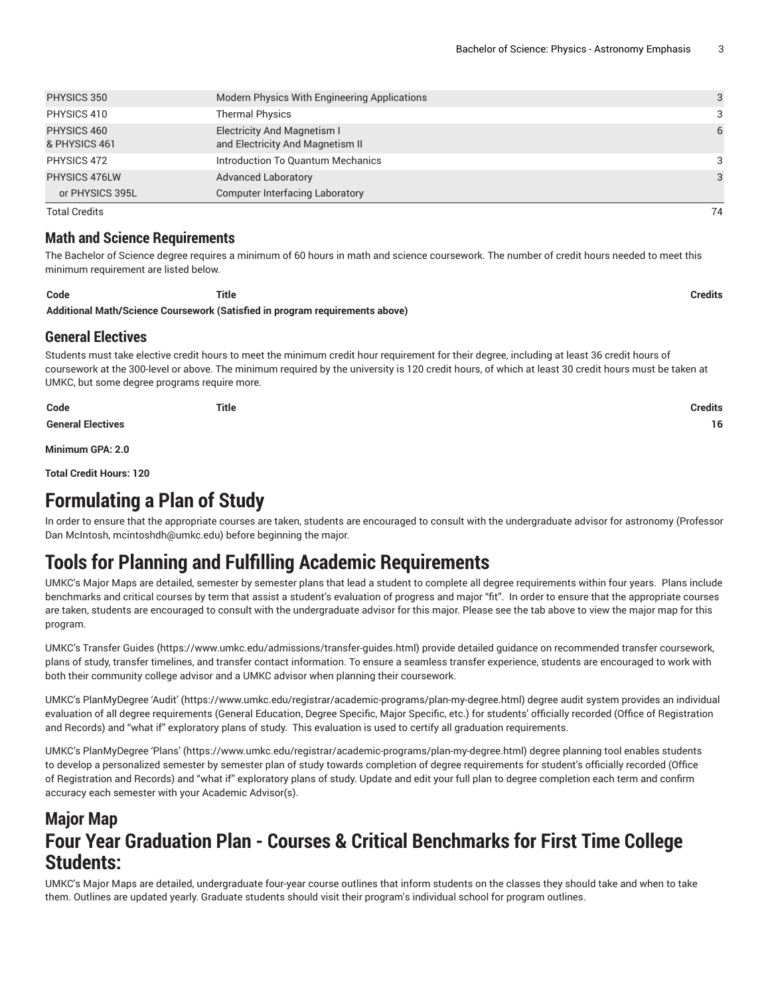| PHYSICS 350                  | Modern Physics With Engineering Applications                           | 3  |
|------------------------------|------------------------------------------------------------------------|----|
| PHYSICS 410                  | <b>Thermal Physics</b>                                                 | 3  |
| PHYSICS 460<br>& PHYSICS 461 | <b>Electricity And Magnetism I</b><br>and Electricity And Magnetism II | 6  |
| PHYSICS 472                  | Introduction To Quantum Mechanics                                      | 3  |
| PHYSICS 476LW                | <b>Advanced Laboratory</b>                                             | 3  |
| or PHYSICS 395L              | <b>Computer Interfacing Laboratory</b>                                 |    |
| <b>Total Credits</b>         |                                                                        | 74 |

#### **Math and Science Requirements**

The Bachelor of Science degree requires a minimum of 60 hours in math and science coursework. The number of credit hours needed to meet this minimum requirement are listed below.

**Code Title Credits Additional Math/Science Coursework (Satisfied in program requirements above)**

#### **General Electives**

Students must take elective credit hours to meet the minimum credit hour requirement for their degree, including at least 36 credit hours of coursework at the 300-level or above. The minimum required by the university is 120 credit hours, of which at least 30 credit hours must be taken at UMKC, but some degree programs require more.

| Code                     | <b>Title</b> | <b>Credits</b> |
|--------------------------|--------------|----------------|
| <b>General Electives</b> |              | 16             |

**Minimum GPA: 2.0**

**Total Credit Hours: 120**

### **Formulating a Plan of Study**

In order to ensure that the appropriate courses are taken, students are encouraged to consult with the undergraduate advisor for astronomy (Professor Dan McIntosh, [mcintoshdh@umkc.edu](mailto:mcintoshdh@umkc.edu)) before beginning the major.

# **Tools for Planning and Fulfilling Academic Requirements**

UMKC's Major Maps are detailed, semester by semester plans that lead a student to complete all degree requirements within four years. Plans include benchmarks and critical courses by term that assist a student's evaluation of progress and major "fit". In order to ensure that the appropriate courses are taken, students are encouraged to consult with the undergraduate advisor for this major. Please see the tab above to view the major map for this program.

UMKC's [Transfer](https://www.umkc.edu/admissions/transfer-guides.html) Guides [\(https://www.umkc.edu/admissions/transfer-guides.html](https://www.umkc.edu/admissions/transfer-guides.html)) provide detailed guidance on recommended transfer coursework, plans of study, transfer timelines, and transfer contact information. To ensure a seamless transfer experience, students are encouraged to work with both their community college advisor and a UMKC advisor when planning their coursework.

UMKC's [PlanMyDegree](https://www.umkc.edu/registrar/academic-programs/plan-my-degree.html) 'Audit' ([https://www.umkc.edu/registrar/academic-programs/plan-my-degree.html\)](https://www.umkc.edu/registrar/academic-programs/plan-my-degree.html) degree audit system provides an individual evaluation of all degree requirements (General Education, Degree Specific, Major Specific, etc.) for students' officially recorded (Office of Registration and Records) and "what if" exploratory plans of study. This evaluation is used to certify all graduation requirements.

UMKC's [PlanMyDegree](https://www.umkc.edu/registrar/academic-programs/plan-my-degree.html) 'Plans' [\(https://www.umkc.edu/registrar/academic-programs/plan-my-degree.html\)](https://www.umkc.edu/registrar/academic-programs/plan-my-degree.html) degree planning tool enables students to develop a personalized semester by semester plan of study towards completion of degree requirements for student's officially recorded (Office of Registration and Records) and "what if" exploratory plans of study. Update and edit your full plan to degree completion each term and confirm accuracy each semester with your Academic Advisor(s).

### **Major Map Four Year Graduation Plan - Courses & Critical Benchmarks for First Time College Students:**

UMKC's Major Maps are detailed, undergraduate four-year course outlines that inform students on the classes they should take and when to take them. Outlines are updated yearly. Graduate students should visit their program's individual school for program outlines.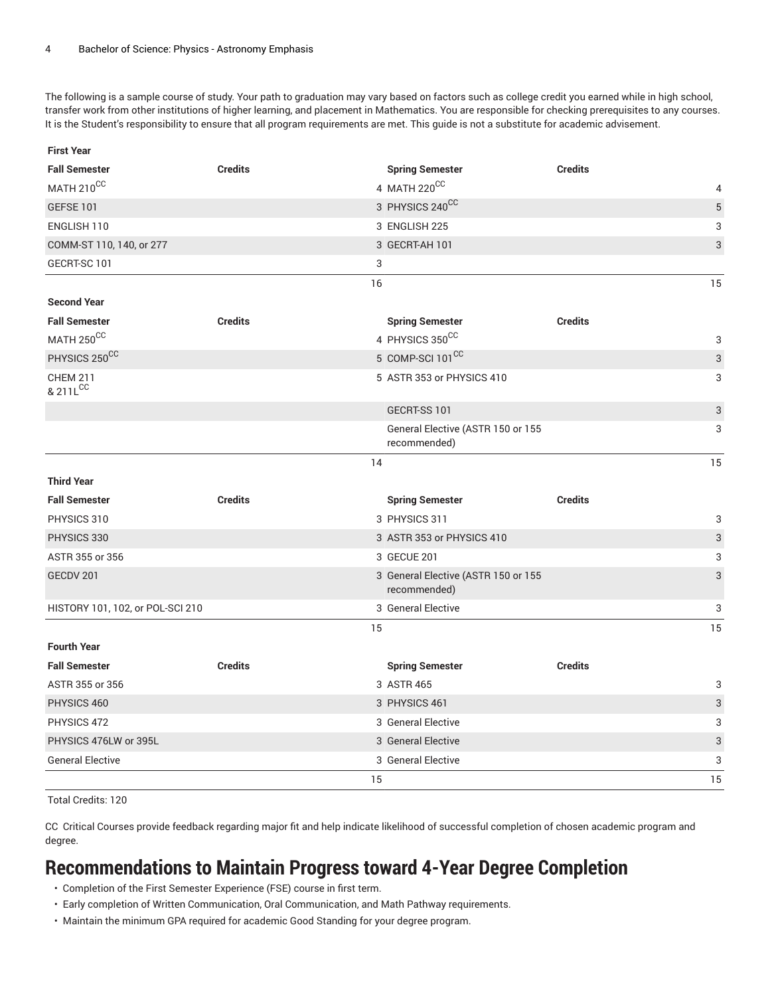**First Year**

The following is a sample course of study. Your path to graduation may vary based on factors such as college credit you earned while in high school, transfer work from other institutions of higher learning, and placement in Mathematics. You are responsible for checking prerequisites to any courses. It is the Student's responsibility to ensure that all program requirements are met. This guide is not a substitute for academic advisement.

| <b>Fall Semester</b>                    | <b>Credits</b> | <b>Spring Semester</b>                              | <b>Credits</b> |                           |
|-----------------------------------------|----------------|-----------------------------------------------------|----------------|---------------------------|
| MATH 210 <sup>CC</sup>                  |                | 4 MATH 220CC                                        |                | 4                         |
| <b>GEFSE 101</b>                        |                | 3 PHYSICS 240CC                                     |                | 5                         |
| ENGLISH 110                             |                | 3 ENGLISH 225                                       |                | 3                         |
| COMM-ST 110, 140, or 277                |                | 3 GECRT-AH 101                                      |                | 3                         |
| GECRT-SC 101                            | 3              |                                                     |                |                           |
|                                         | 16             |                                                     |                | 15                        |
| <b>Second Year</b>                      |                |                                                     |                |                           |
| <b>Fall Semester</b>                    | <b>Credits</b> | <b>Spring Semester</b>                              | <b>Credits</b> |                           |
| MATH 250 <sup>CC</sup>                  |                | 4 PHYSICS 350CC                                     |                | 3                         |
| PHYSICS 250 <sup>CC</sup>               |                | 5 COMP-SCI 101 <sup>CC</sup>                        |                | 3                         |
| <b>CHEM 211</b><br>& 211L <sup>CC</sup> |                | 5 ASTR 353 or PHYSICS 410                           |                | 3                         |
|                                         |                | GECRT-SS 101                                        |                | $\ensuremath{\mathsf{3}}$ |
|                                         |                | General Elective (ASTR 150 or 155<br>recommended)   |                | 3                         |
|                                         | 14             |                                                     |                | 15                        |
| <b>Third Year</b>                       |                |                                                     |                |                           |
| <b>Fall Semester</b>                    | <b>Credits</b> | <b>Spring Semester</b>                              | <b>Credits</b> |                           |
| PHYSICS 310                             |                | 3 PHYSICS 311                                       |                | 3                         |
| PHYSICS 330                             |                | 3 ASTR 353 or PHYSICS 410                           |                | 3                         |
| ASTR 355 or 356                         |                | 3 GECUE 201                                         |                | 3                         |
| GECDV 201                               |                | 3 General Elective (ASTR 150 or 155<br>recommended) |                | 3                         |
| HISTORY 101, 102, or POL-SCI 210        |                | 3 General Elective                                  |                | 3                         |
|                                         | 15             |                                                     |                | 15                        |
| <b>Fourth Year</b>                      |                |                                                     |                |                           |
| <b>Fall Semester</b>                    | <b>Credits</b> | <b>Spring Semester</b>                              | <b>Credits</b> |                           |
| ASTR 355 or 356                         |                | 3 ASTR 465                                          |                | 3                         |
| PHYSICS 460                             |                | 3 PHYSICS 461                                       |                | 3                         |
| PHYSICS 472                             |                | 3 General Elective                                  |                | 3                         |
| PHYSICS 476LW or 395L                   |                | 3 General Elective                                  |                | 3                         |
| <b>General Elective</b>                 |                | 3 General Elective                                  |                | 3                         |
|                                         | 15             |                                                     |                | 15                        |

Total Credits: 120

CC Critical Courses provide feedback regarding major fit and help indicate likelihood of successful completion of chosen academic program and degree.

# **Recommendations to Maintain Progress toward 4-Year Degree Completion**

- Completion of the First Semester Experience (FSE) course in first term.
- Early completion of Written Communication, Oral Communication, and Math Pathway requirements.
- Maintain the minimum GPA required for academic Good Standing for your degree program.